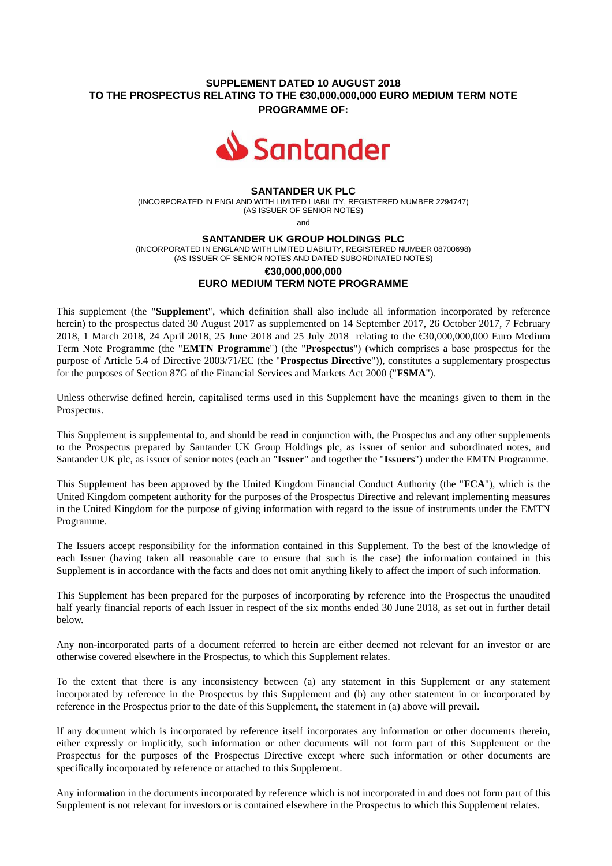## **SUPPLEMENT DATED 10 AUGUST 2018 TO THE PROSPECTUS RELATING TO THE €30,000,000,000 EURO MEDIUM TERM NOTE PROGRAMME OF:**



# **SANTANDER UK PLC**

(INCORPORATED IN ENGLAND WITH LIMITED LIABILITY, REGISTERED NUMBER 2294747) (AS ISSUER OF SENIOR NOTES)

and

#### **SANTANDER UK GROUP HOLDINGS PLC**

(INCORPORATED IN ENGLAND WITH LIMITED LIABILITY, REGISTERED NUMBER 08700698) (AS ISSUER OF SENIOR NOTES AND DATED SUBORDINATED NOTES)

# **€30,000,000,000 EURO MEDIUM TERM NOTE PROGRAMME**

This supplement (the "**Supplement**", which definition shall also include all information incorporated by reference herein) to the prospectus dated 30 August 2017 as supplemented on 14 September 2017, 26 October 2017, 7 February 2018, 1 March 2018, 24 April 2018, 25 June 2018 and 25 July 2018 relating to the €30,000,000,000 Euro Medium Term Note Programme (the "**EMTN Programme**") (the "**Prospectus**") (which comprises a base prospectus for the purpose of Article 5.4 of Directive 2003/71/EC (the "**Prospectus Directive**")), constitutes a supplementary prospectus for the purposes of Section 87G of the Financial Services and Markets Act 2000 ("**FSMA**").

Unless otherwise defined herein, capitalised terms used in this Supplement have the meanings given to them in the Prospectus.

This Supplement is supplemental to, and should be read in conjunction with, the Prospectus and any other supplements to the Prospectus prepared by Santander UK Group Holdings plc, as issuer of senior and subordinated notes, and Santander UK plc, as issuer of senior notes (each an "**Issuer**" and together the "**Issuers**") under the EMTN Programme.

This Supplement has been approved by the United Kingdom Financial Conduct Authority (the "**FCA**"), which is the United Kingdom competent authority for the purposes of the Prospectus Directive and relevant implementing measures in the United Kingdom for the purpose of giving information with regard to the issue of instruments under the EMTN Programme.

The Issuers accept responsibility for the information contained in this Supplement. To the best of the knowledge of each Issuer (having taken all reasonable care to ensure that such is the case) the information contained in this Supplement is in accordance with the facts and does not omit anything likely to affect the import of such information.

This Supplement has been prepared for the purposes of incorporating by reference into the Prospectus the unaudited half yearly financial reports of each Issuer in respect of the six months ended 30 June 2018, as set out in further detail below.

Any non-incorporated parts of a document referred to herein are either deemed not relevant for an investor or are otherwise covered elsewhere in the Prospectus, to which this Supplement relates.

To the extent that there is any inconsistency between (a) any statement in this Supplement or any statement incorporated by reference in the Prospectus by this Supplement and (b) any other statement in or incorporated by reference in the Prospectus prior to the date of this Supplement, the statement in (a) above will prevail.

If any document which is incorporated by reference itself incorporates any information or other documents therein, either expressly or implicitly, such information or other documents will not form part of this Supplement or the Prospectus for the purposes of the Prospectus Directive except where such information or other documents are specifically incorporated by reference or attached to this Supplement.

Any information in the documents incorporated by reference which is not incorporated in and does not form part of this Supplement is not relevant for investors or is contained elsewhere in the Prospectus to which this Supplement relates.